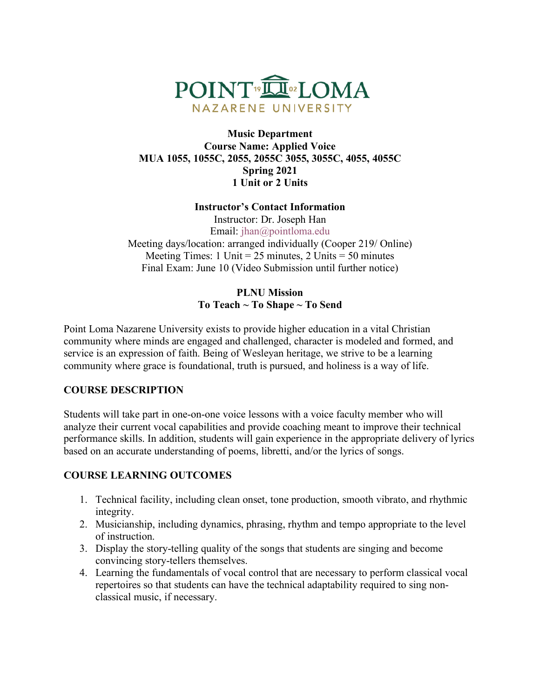

#### **Music Department Course Name: Applied Voice MUA 1055, 1055C, 2055, 2055C 3055, 3055C, 4055, 4055C Spring 2021 1 Unit or 2 Units**

#### **Instructor's Contact Information**

Instructor: Dr. Joseph Han Email: jhan@pointloma.edu Meeting days/location: arranged individually (Cooper 219/ Online) Meeting Times: 1 Unit =  $25$  minutes, 2 Units =  $50$  minutes Final Exam: June 10 (Video Submission until further notice)

### **PLNU Mission To Teach ~ To Shape ~ To Send**

Point Loma Nazarene University exists to provide higher education in a vital Christian community where minds are engaged and challenged, character is modeled and formed, and service is an expression of faith. Being of Wesleyan heritage, we strive to be a learning community where grace is foundational, truth is pursued, and holiness is a way of life.

### **COURSE DESCRIPTION**

Students will take part in one-on-one voice lessons with a voice faculty member who will analyze their current vocal capabilities and provide coaching meant to improve their technical performance skills. In addition, students will gain experience in the appropriate delivery of lyrics based on an accurate understanding of poems, libretti, and/or the lyrics of songs.

### **COURSE LEARNING OUTCOMES**

- 1. Technical facility, including clean onset, tone production, smooth vibrato, and rhythmic integrity.
- 2. Musicianship, including dynamics, phrasing, rhythm and tempo appropriate to the level of instruction.
- 3. Display the story-telling quality of the songs that students are singing and become convincing story-tellers themselves.
- 4. Learning the fundamentals of vocal control that are necessary to perform classical vocal repertoires so that students can have the technical adaptability required to sing nonclassical music, if necessary.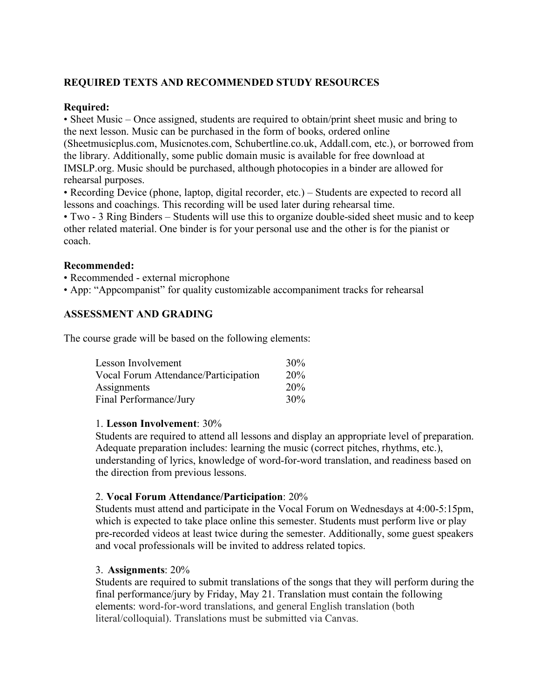## **REQUIRED TEXTS AND RECOMMENDED STUDY RESOURCES**

### **Required:**

• Sheet Music – Once assigned, students are required to obtain/print sheet music and bring to the next lesson. Music can be purchased in the form of books, ordered online (Sheetmusicplus.com, Musicnotes.com, Schubertline.co.uk, Addall.com, etc.), or borrowed from the library. Additionally, some public domain music is available for free download at IMSLP.org. Music should be purchased, although photocopies in a binder are allowed for rehearsal purposes.

• Recording Device (phone, laptop, digital recorder, etc.) – Students are expected to record all lessons and coachings. This recording will be used later during rehearsal time.

• Two - 3 Ring Binders – Students will use this to organize double-sided sheet music and to keep other related material. One binder is for your personal use and the other is for the pianist or coach.

#### **Recommended:**

- Recommended external microphone
- App: "Appcompanist" for quality customizable accompaniment tracks for rehearsal

### **ASSESSMENT AND GRADING**

The course grade will be based on the following elements:

| Lesson Involvement                   | 30%        |
|--------------------------------------|------------|
| Vocal Forum Attendance/Participation | <b>20%</b> |
| Assignments                          | <b>20%</b> |
| Final Performance/Jury               | 30%        |

#### 1. **Lesson Involvement**: 30%

Students are required to attend all lessons and display an appropriate level of preparation. Adequate preparation includes: learning the music (correct pitches, rhythms, etc.), understanding of lyrics, knowledge of word-for-word translation, and readiness based on the direction from previous lessons.

#### 2. **Vocal Forum Attendance/Participation**: 20%

Students must attend and participate in the Vocal Forum on Wednesdays at 4:00-5:15pm, which is expected to take place online this semester. Students must perform live or play pre-recorded videos at least twice during the semester. Additionally, some guest speakers and vocal professionals will be invited to address related topics.

### 3. **Assignments**: 20%

Students are required to submit translations of the songs that they will perform during the final performance/jury by Friday, May 21. Translation must contain the following elements: word-for-word translations, and general English translation (both literal/colloquial). Translations must be submitted via Canvas.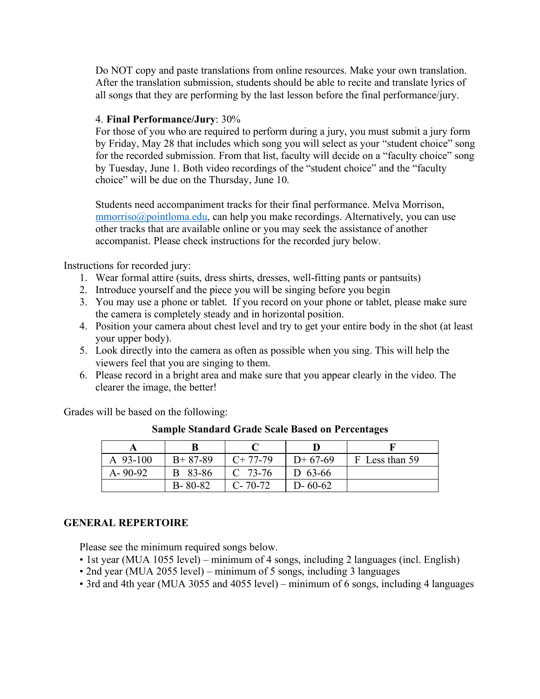Do NOT copy and paste translations from online resources. Make your own translation. After the translation submission, students should be able to recite and translate lyrics of all songs that they are performing by the last lesson before the final performance/jury.

#### 4. **Final Performance/Jury**: 30%

For those of you who are required to perform during a jury, you must submit a jury form by Friday, May 28 that includes which song you will select as your "student choice" song for the recorded submission. From that list, faculty will decide on a "faculty choice" song by Tuesday, June 1. Both video recordings of the "student choice" and the "faculty choice" will be due on the Thursday, June 10.

Students need accompaniment tracks for their final performance. Melva Morrison, mmorriso@pointloma.edu, can help you make recordings. Alternatively, you can use other tracks that are available online or you may seek the assistance of another accompanist. Please check instructions for the recorded jury below.

Instructions for recorded jury:

- 1. Wear formal attire (suits, dress shirts, dresses, well-fitting pants or pantsuits)
- 2. Introduce yourself and the piece you will be singing before you begin
- 3. You may use a phone or tablet. If you record on your phone or tablet, please make sure the camera is completely steady and in horizontal position.
- 4. Position your camera about chest level and try to get your entire body in the shot (at least your upper body).
- 5. Look directly into the camera as often as possible when you sing. This will help the viewers feel that you are singing to them.
- 6. Please record in a bright area and make sure that you appear clearly in the video. The clearer the image, the better!

Grades will be based on the following:

| A 93-100      | $B+87-89$     | $C+77-79$     | $D+67-69$     | F Less than 59 |
|---------------|---------------|---------------|---------------|----------------|
| $A - 90 - 92$ | B 83-86       | $C$ 73-76     | D $63-66$     |                |
|               | $B - 80 - 82$ | $C - 70 - 72$ | $D - 60 - 62$ |                |

### **Sample Standard Grade Scale Based on Percentages**

#### **GENERAL REPERTOIRE**

Please see the minimum required songs below.

- 1st year (MUA 1055 level) minimum of 4 songs, including 2 languages (incl. English)
- 2nd year (MUA 2055 level) minimum of 5 songs, including 3 languages
- 3rd and 4th year (MUA 3055 and 4055 level) minimum of 6 songs, including 4 languages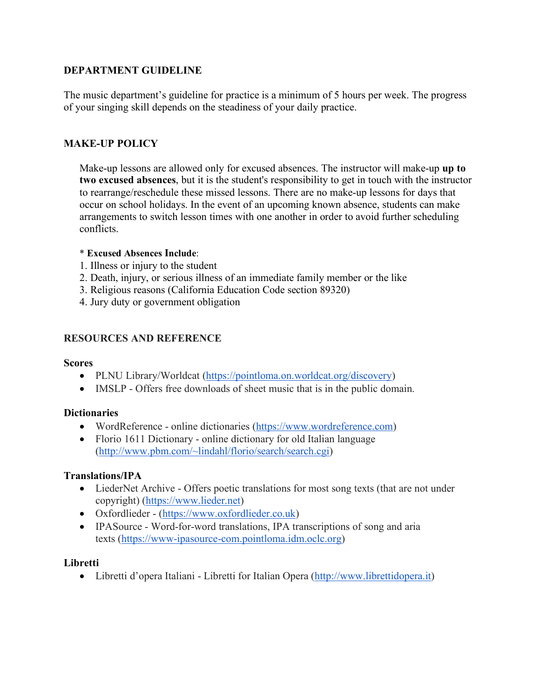### **DEPARTMENT GUIDELINE**

The music department's guideline for practice is a minimum of 5 hours per week. The progress of your singing skill depends on the steadiness of your daily practice.

## **MAKE-UP POLICY**

Make-up lessons are allowed only for excused absences. The instructor will make-up **up to two excused absences**, but it is the student's responsibility to get in touch with the instructor to rearrange/reschedule these missed lessons. There are no make-up lessons for days that occur on school holidays. In the event of an upcoming known absence, students can make arrangements to switch lesson times with one another in order to avoid further scheduling conflicts.

#### \* **Excused Absences Include**:

- 1. Illness or injury to the student
- 2. Death, injury, or serious illness of an immediate family member or the like
- 3. Religious reasons (California Education Code section 89320)
- 4. Jury duty or government obligation

### **RESOURCES AND REFERENCE**

#### **Scores**

- PLNU Library/Worldcat (https://pointloma.on.worldcat.org/discovery)
- IMSLP Offers free downloads of sheet music that is in the public domain.

#### **Dictionaries**

- WordReference online dictionaries (https://www.wordreference.com)
- Florio 1611 Dictionary online dictionary for old Italian language (http://www.pbm.com/~lindahl/florio/search/search.cgi)

### **Translations/IPA**

- LiederNet Archive Offers poetic translations for most song texts (that are not under copyright) (https://www.lieder.net)
- Oxfordlieder (https://www.oxfordlieder.co.uk)
- IPASource Word-for-word translations, IPA transcriptions of song and aria texts (https://www-ipasource-com.pointloma.idm.oclc.org)

#### **Libretti**

• Libretti d'opera Italiani - Libretti for Italian Opera (http://www.librettidopera.it)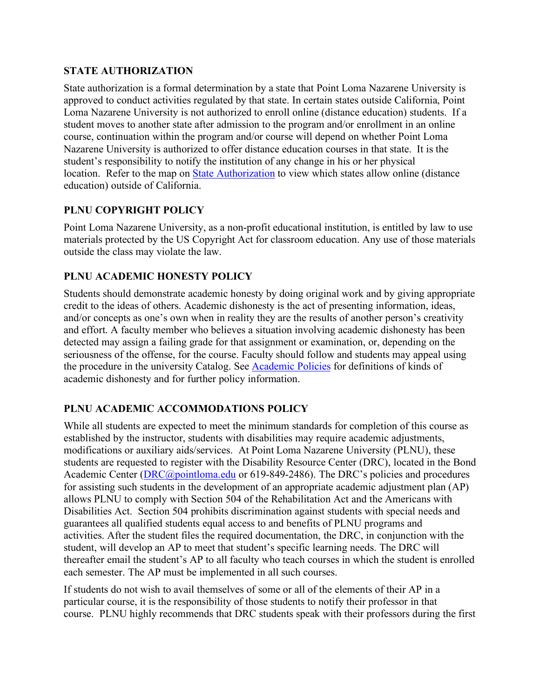## **STATE AUTHORIZATION**

State authorization is a formal determination by a state that Point Loma Nazarene University is approved to conduct activities regulated by that state. In certain states outside California, Point Loma Nazarene University is not authorized to enroll online (distance education) students. If a student moves to another state after admission to the program and/or enrollment in an online course, continuation within the program and/or course will depend on whether Point Loma Nazarene University is authorized to offer distance education courses in that state. It is the student's responsibility to notify the institution of any change in his or her physical location. Refer to the map on State Authorization to view which states allow online (distance education) outside of California.

## **PLNU COPYRIGHT POLICY**

Point Loma Nazarene University, as a non-profit educational institution, is entitled by law to use materials protected by the US Copyright Act for classroom education. Any use of those materials outside the class may violate the law.

# **PLNU ACADEMIC HONESTY POLICY**

Students should demonstrate academic honesty by doing original work and by giving appropriate credit to the ideas of others. Academic dishonesty is the act of presenting information, ideas, and/or concepts as one's own when in reality they are the results of another person's creativity and effort. A faculty member who believes a situation involving academic dishonesty has been detected may assign a failing grade for that assignment or examination, or, depending on the seriousness of the offense, for the course. Faculty should follow and students may appeal using the procedure in the university Catalog. See Academic Policies for definitions of kinds of academic dishonesty and for further policy information.

### **PLNU ACADEMIC ACCOMMODATIONS POLICY**

While all students are expected to meet the minimum standards for completion of this course as established by the instructor, students with disabilities may require academic adjustments, modifications or auxiliary aids/services. At Point Loma Nazarene University (PLNU), these students are requested to register with the Disability Resource Center (DRC), located in the Bond Academic Center (*DRC@pointloma.edu* or 619-849-2486). The DRC's policies and procedures for assisting such students in the development of an appropriate academic adjustment plan (AP) allows PLNU to comply with Section 504 of the Rehabilitation Act and the Americans with Disabilities Act. Section 504 prohibits discrimination against students with special needs and guarantees all qualified students equal access to and benefits of PLNU programs and activities. After the student files the required documentation, the DRC, in conjunction with the student, will develop an AP to meet that student's specific learning needs. The DRC will thereafter email the student's AP to all faculty who teach courses in which the student is enrolled each semester. The AP must be implemented in all such courses.

If students do not wish to avail themselves of some or all of the elements of their AP in a particular course, it is the responsibility of those students to notify their professor in that course. PLNU highly recommends that DRC students speak with their professors during the first